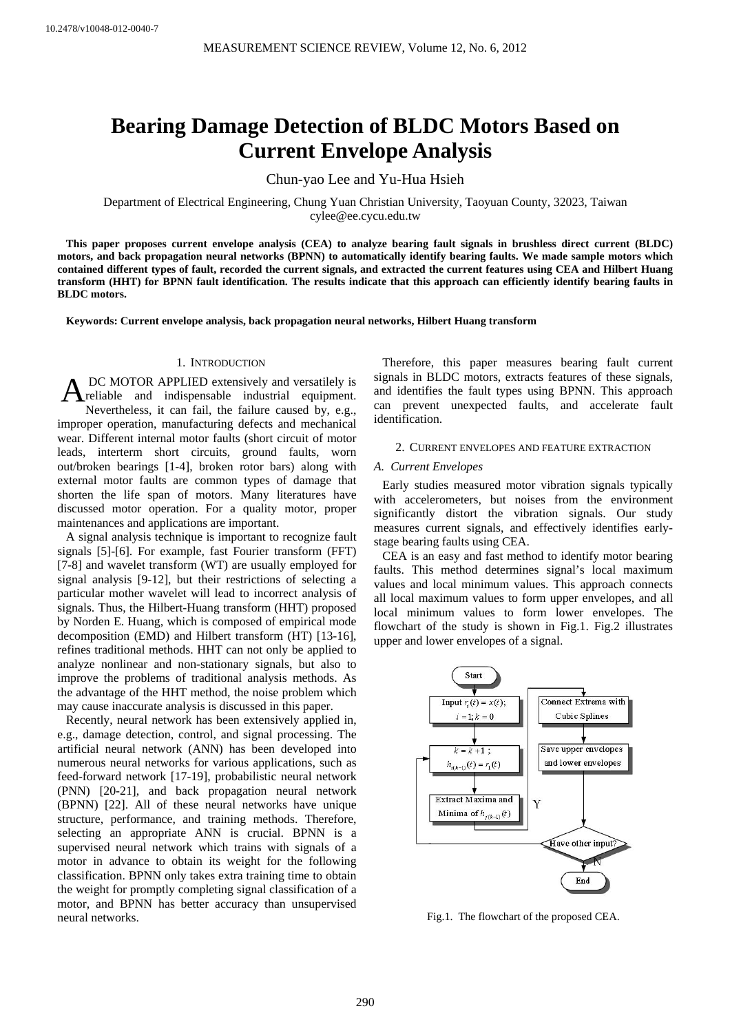# **Bearing Damage Detection of BLDC Motors Based on Current Envelope Analysis**

Chun-yao Lee and Yu-Hua Hsieh

Department of Electrical Engineering, Chung Yuan Christian University, Taoyuan County, 32023, Taiwan cylee@ee.cycu.edu.tw

**This paper proposes current envelope analysis (CEA) to analyze bearing fault signals in brushless direct current (BLDC) motors, and back propagation neural networks (BPNN) to automatically identify bearing faults. We made sample motors which contained different types of fault, recorded the current signals, and extracted the current features using CEA and Hilbert Huang transform (HHT) for BPNN fault identification. The results indicate that this approach can efficiently identify bearing faults in BLDC motors.** 

**Keywords: Current envelope analysis, back propagation neural networks, Hilbert Huang transform** 

# 1. INTRODUCTION

 DC MOTOR APPLIED extensively and versatilely is A DC MOTOR APPLIED extensively and versatilely is<br>
reliable and indispensable industrial equipment. Nevertheless, it can fail, the failure caused by, e.g., improper operation, manufacturing defects and mechanical wear. Different internal motor faults (short circuit of motor leads, interterm short circuits, ground faults, worn out/broken bearings [1-4], broken rotor bars) along with external motor faults are common types of damage that shorten the life span of motors. Many literatures have discussed motor operation. For a quality motor, proper maintenances and applications are important.

A signal analysis technique is important to recognize fault signals [5]-[6]. For example, fast Fourier transform (FFT) [7-8] and wavelet transform (WT) are usually employed for signal analysis [9-12], but their restrictions of selecting a particular mother wavelet will lead to incorrect analysis of signals. Thus, the Hilbert-Huang transform (HHT) proposed by Norden E. Huang, which is composed of empirical mode decomposition (EMD) and Hilbert transform (HT) [13-16], refines traditional methods. HHT can not only be applied to analyze nonlinear and non-stationary signals, but also to improve the problems of traditional analysis methods. As the advantage of the HHT method, the noise problem which may cause inaccurate analysis is discussed in this paper.

Recently, neural network has been extensively applied in, e.g., damage detection, control, and signal processing. The artificial neural network (ANN) has been developed into numerous neural networks for various applications, such as feed-forward network [17-19], probabilistic neural network (PNN) [20-21], and back propagation neural network (BPNN) [22]. All of these neural networks have unique structure, performance, and training methods. Therefore, selecting an appropriate ANN is crucial. BPNN is a supervised neural network which trains with signals of a motor in advance to obtain its weight for the following classification. BPNN only takes extra training time to obtain the weight for promptly completing signal classification of a motor, and BPNN has better accuracy than unsupervised neural networks.

Therefore, this paper measures bearing fault current signals in BLDC motors, extracts features of these signals, and identifies the fault types using BPNN. This approach can prevent unexpected faults, and accelerate fault identification.

## 2. CURRENT ENVELOPES AND FEATURE EXTRACTION

#### *A. Current Envelopes*

Early studies measured motor vibration signals typically with accelerometers, but noises from the environment significantly distort the vibration signals. Our study measures current signals, and effectively identifies earlystage bearing faults using CEA.

CEA is an easy and fast method to identify motor bearing faults. This method determines signal's local maximum values and local minimum values. This approach connects all local maximum values to form upper envelopes, and all local minimum values to form lower envelopes. The flowchart of the study is shown in Fig.1. Fig.2 illustrates upper and lower envelopes of a signal.



Fig.1. The flowchart of the proposed CEA.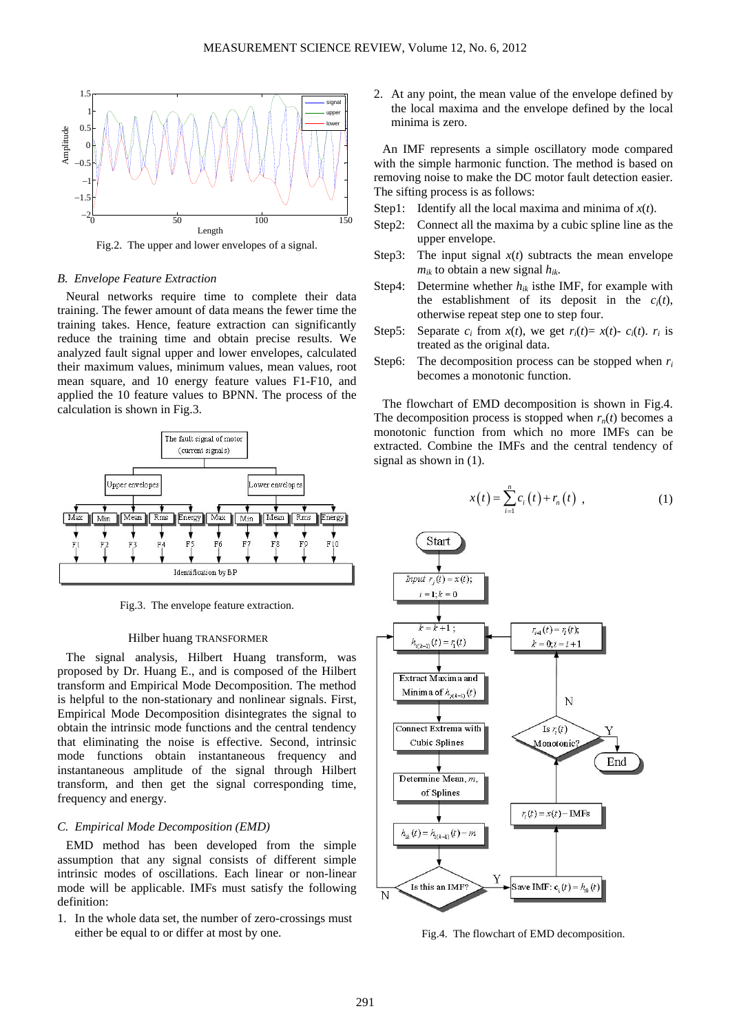

Fig.2. The upper and lower envelopes of a signal.

# *B. Envelope Feature Extraction*

Neural networks require time to complete their data training. The fewer amount of data means the fewer time the training takes. Hence, feature extraction can significantly reduce the training time and obtain precise results. We analyzed fault signal upper and lower envelopes, calculated their maximum values, minimum values, mean values, root mean square, and 10 energy feature values F1-F10, and applied the 10 feature values to BPNN. The process of the calculation is shown in Fig.3.



Fig.3. The envelope feature extraction.

#### Hilber huang TRANSFORMER

The signal analysis, Hilbert Huang transform, was proposed by Dr. Huang E., and is composed of the Hilbert transform and Empirical Mode Decomposition. The method is helpful to the non-stationary and nonlinear signals. First, Empirical Mode Decomposition disintegrates the signal to obtain the intrinsic mode functions and the central tendency that eliminating the noise is effective. Second, intrinsic mode functions obtain instantaneous frequency and instantaneous amplitude of the signal through Hilbert transform, and then get the signal corresponding time, frequency and energy.

# *C. Empirical Mode Decomposition (EMD)*

EMD method has been developed from the simple assumption that any signal consists of different simple intrinsic modes of oscillations. Each linear or non-linear mode will be applicable. IMFs must satisfy the following definition:

1. In the whole data set, the number of zero-crossings must either be equal to or differ at most by one.

2. At any point, the mean value of the envelope defined by the local maxima and the envelope defined by the local minima is zero.

An IMF represents a simple oscillatory mode compared with the simple harmonic function. The method is based on removing noise to make the DC motor fault detection easier. The sifting process is as follows:

- Step1: Identify all the local maxima and minima of *x*(*t*).
- Step2: Connect all the maxima by a cubic spline line as the upper envelope.
- Step3: The input signal  $x(t)$  subtracts the mean envelope  $m_{ik}$  to obtain a new signal  $h_{ik}$ .
- Step4: Determine whether  $h_{ik}$  is the IMF, for example with the establishment of its deposit in the  $c_i(t)$ , otherwise repeat step one to step four.
- Step5: Separate  $c_i$  from  $x(t)$ , we get  $r_i(t) = x(t) c_i(t)$ .  $r_i$  is treated as the original data.
- Step6: The decomposition process can be stopped when  $r_i$ becomes a monotonic function.

The flowchart of EMD decomposition is shown in Fig.4. The decomposition process is stopped when  $r_n(t)$  becomes a monotonic function from which no more IMFs can be extracted. Combine the IMFs and the central tendency of signal as shown in (1).

$$
x(t) = \sum_{i=1}^{n} c_i(t) + r_n(t) , \qquad (1)
$$



Fig.4. The flowchart of EMD decomposition.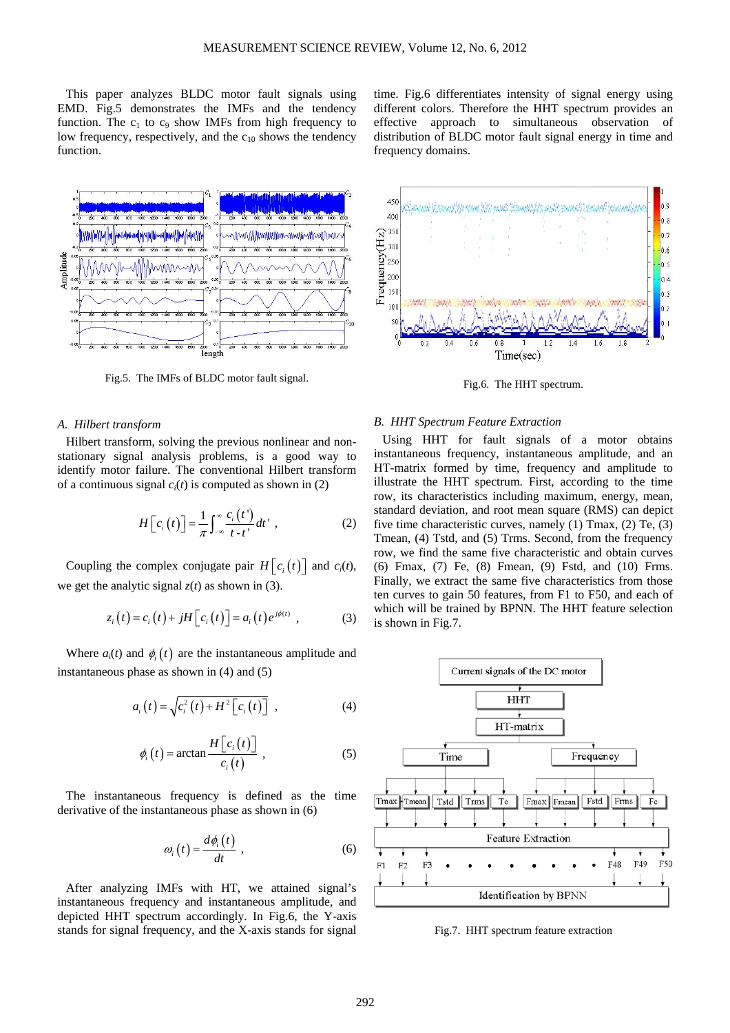This paper analyzes BLDC motor fault signals using EMD. Fig.5 demonstrates the IMFs and the tendency function. The  $c_1$  to  $c_9$  show IMFs from high frequency to low frequency, respectively, and the  $c_{10}$  shows the tendency function.

time. Fig.6 differentiates intensity of signal energy using different colors. Therefore the HHT spectrum provides an effective approach to simultaneous observation of distribution of BLDC motor fault signal energy in time and frequency domains.



Fig.5. The IMFs of BLDC motor fault signal.

## *A. Hilbert transform*

Hilbert transform, solving the previous nonlinear and nonstationary signal analysis problems, is a good way to identify motor failure. The conventional Hilbert transform of a continuous signal  $c<sub>i</sub>(t)$  is computed as shown in (2)

$$
H\left[c_i\left(t\right)\right] = \frac{1}{\pi} \int_{-\infty}^{\infty} \frac{c_i\left(t'\right)}{t - t'} dt' \tag{2}
$$

Coupling the complex conjugate pair  $H[c_i(t)]$  and  $c_i(t)$ , we get the analytic signal  $z(t)$  as shown in (3).

$$
z_i(t) = c_i(t) + jH[c_i(t)] = a_i(t)e^{j\phi(t)},
$$
 (3)

Where  $a_i(t)$  and  $\phi_i(t)$  are the instantaneous amplitude and instantaneous phase as shown in (4) and (5)

$$
a_i(t) = \sqrt{c_i^2(t) + H^2[c_i(t)]}, \qquad (4)
$$

$$
\phi_i(t) = \arctan \frac{H\left[c_i(t)\right]}{c_i(t)} \tag{5}
$$

The instantaneous frequency is defined as the time derivative of the instantaneous phase as shown in (6)

$$
\omega_i(t) = \frac{d\phi_i(t)}{dt},\qquad(6)
$$

After analyzing IMFs with HT, we attained signal's instantaneous frequency and instantaneous amplitude, and depicted HHT spectrum accordingly. In Fig.6, the Y-axis stands for signal frequency, and the X-axis stands for signal



Fig.6. The HHT spectrum.

#### *B. HHT Spectrum Feature Extraction*

Using HHT for fault signals of a motor obtains instantaneous frequency, instantaneous amplitude, and an HT-matrix formed by time, frequency and amplitude to illustrate the HHT spectrum. First, according to the time row, its characteristics including maximum, energy, mean, standard deviation, and root mean square (RMS) can depict five time characteristic curves, namely (1) Tmax, (2) Te, (3) Tmean, (4) Tstd, and (5) Trms. Second, from the frequency row, we find the same five characteristic and obtain curves (6) Fmax, (7) Fe, (8) Fmean, (9) Fstd, and (10) Frms. Finally, we extract the same five characteristics from those ten curves to gain 50 features, from F1 to F50, and each of which will be trained by BPNN. The HHT feature selection is shown in Fig.7.



Fig.7. HHT spectrum feature extraction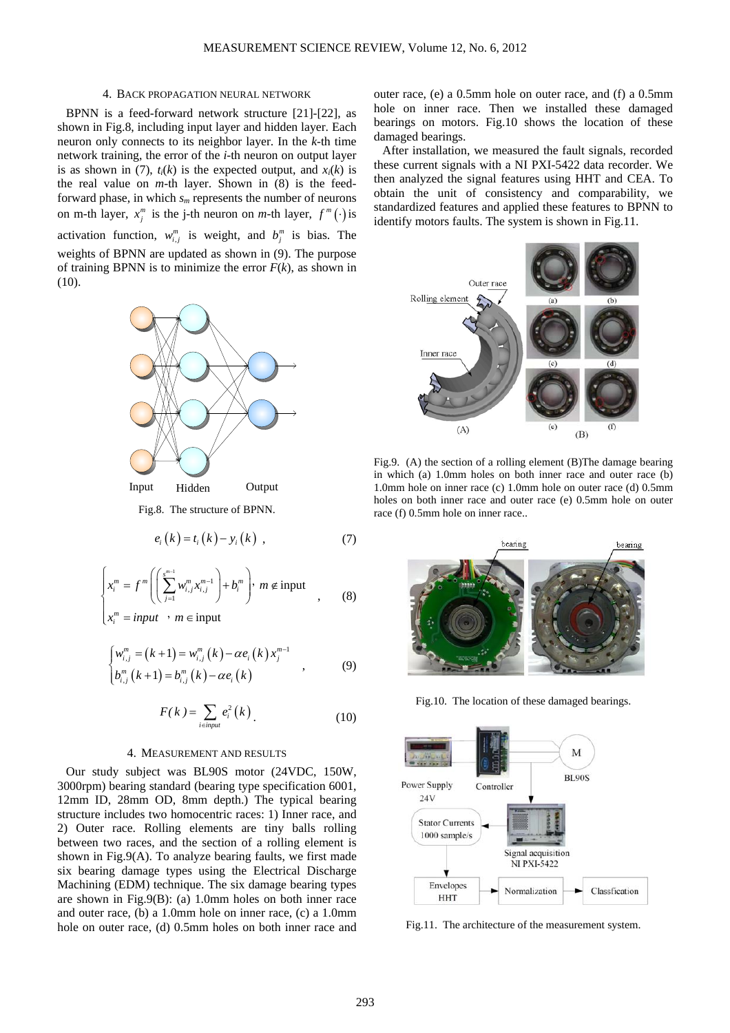#### 4. BACK PROPAGATION NEURAL NETWORK

BPNN is a feed-forward network structure [21]-[22], as shown in Fig.8, including input layer and hidden layer. Each neuron only connects to its neighbor layer. In the *k*-th time network training, the error of the *i*-th neuron on output layer is as shown in (7),  $t_i(k)$  is the expected output, and  $x_i(k)$  is the real value on *m*-th layer. Shown in (8) is the feedforward phase, in which  $s_m$  represents the number of neurons on m-th layer,  $x_j^m$  is the j-th neuron on *m*-th layer,  $f^m(\cdot)$  is activation function,  $w_{i,j}^m$  is weight, and  $b_j^m$  is bias. The weights of BPNN are updated as shown in (9). The purpose of training BPNN is to minimize the error  $F(k)$ , as shown in (10).



Fig.8. The structure of BPNN.

$$
e_i(k) = t_i(k) - y_i(k) , \qquad (7)
$$

$$
\begin{cases} x_i^m = f^m \left( \left( \sum_{j=1}^{s^{m-1}} w_{i,j}^m x_{i,j}^{m-1} \right) + b_i^m \right), \ m \notin \text{input} \\ x_i^m = input \quad , \quad m \in \text{input} \end{cases} \tag{8}
$$

$$
\begin{cases}\nw_{i,j}^{m} = (k+1) = w_{i,j}^{m} (k) - \alpha e_i (k) x_j^{m-1} \\
b_{i,j}^{m} (k+1) = b_{i,j}^{m} (k) - \alpha e_i (k)\n\end{cases}
$$
\n(9)

$$
F(k) = \sum_{i \in input} e_i^2(k) \tag{10}
$$

#### 4. MEASUREMENT AND RESULTS

Our study subject was BL90S motor (24VDC, 150W, 3000rpm) bearing standard (bearing type specification 6001, 12mm ID, 28mm OD, 8mm depth.) The typical bearing structure includes two homocentric races: 1) Inner race, and 2) Outer race. Rolling elements are tiny balls rolling between two races, and the section of a rolling element is shown in Fig.9(A). To analyze bearing faults, we first made six bearing damage types using the Electrical Discharge Machining (EDM) technique. The six damage bearing types are shown in Fig.9(B): (a) 1.0mm holes on both inner race and outer race, (b) a 1.0mm hole on inner race, (c) a 1.0mm hole on outer race, (d) 0.5mm holes on both inner race and outer race, (e) a 0.5mm hole on outer race, and (f) a 0.5mm hole on inner race. Then we installed these damaged bearings on motors. Fig.10 shows the location of these damaged bearings.

After installation, we measured the fault signals, recorded these current signals with a NI PXI-5422 data recorder. We then analyzed the signal features using HHT and CEA. To obtain the unit of consistency and comparability, we standardized features and applied these features to BPNN to identify motors faults. The system is shown in Fig.11.



Fig.9. (A) the section of a rolling element (B)The damage bearing in which (a) 1.0mm holes on both inner race and outer race (b) 1.0mm hole on inner race (c) 1.0mm hole on outer race (d) 0.5mm holes on both inner race and outer race (e) 0.5mm hole on outer race (f) 0.5mm hole on inner race..



Fig.10. The location of these damaged bearings.



Fig.11. The architecture of the measurement system.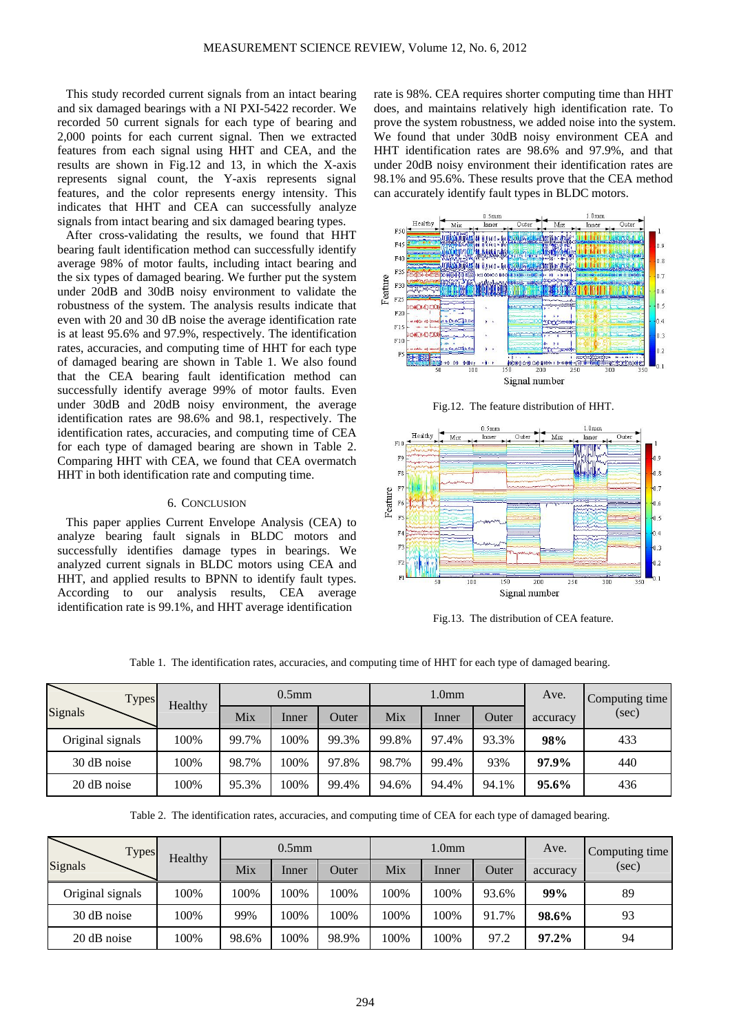This study recorded current signals from an intact bearing and six damaged bearings with a NI PXI-5422 recorder. We recorded 50 current signals for each type of bearing and 2,000 points for each current signal. Then we extracted features from each signal using HHT and CEA, and the results are shown in Fig.12 and 13, in which the X-axis represents signal count, the Y-axis represents signal features, and the color represents energy intensity. This indicates that HHT and CEA can successfully analyze signals from intact bearing and six damaged bearing types.

After cross-validating the results, we found that HHT bearing fault identification method can successfully identify average 98% of motor faults, including intact bearing and the six types of damaged bearing. We further put the system under 20dB and 30dB noisy environment to validate the robustness of the system. The analysis results indicate that even with 20 and 30 dB noise the average identification rate is at least 95.6% and 97.9%, respectively. The identification rates, accuracies, and computing time of HHT for each type of damaged bearing are shown in Table 1. We also found that the CEA bearing fault identification method can successfully identify average 99% of motor faults. Even under 30dB and 20dB noisy environment, the average identification rates are 98.6% and 98.1, respectively. The identification rates, accuracies, and computing time of CEA for each type of damaged bearing are shown in Table 2. Comparing HHT with CEA, we found that CEA overmatch HHT in both identification rate and computing time.

# 6. CONCLUSION

This paper applies Current Envelope Analysis (CEA) to analyze bearing fault signals in BLDC motors and successfully identifies damage types in bearings. We analyzed current signals in BLDC motors using CEA and HHT, and applied results to BPNN to identify fault types. According to our analysis results, CEA average identification rate is 99.1%, and HHT average identification

rate is 98%. CEA requires shorter computing time than HHT does, and maintains relatively high identification rate. To prove the system robustness, we added noise into the system. We found that under 30dB noisy environment CEA and HHT identification rates are 98.6% and 97.9%, and that under 20dB noisy environment their identification rates are 98.1% and 95.6%. These results prove that the CEA method can accurately identify fault types in BLDC motors.







Fig.13. The distribution of CEA feature.

Table 1. The identification rates, accuracies, and computing time of HHT for each type of damaged bearing.

| <b>Types</b><br>Signals | Healthy | $0.5$ mm |       |       | 1.0 <sub>mm</sub> |       |       | Ave.     | Computing time |
|-------------------------|---------|----------|-------|-------|-------------------|-------|-------|----------|----------------|
|                         |         | Mix      | Inner | Outer | Mix               | Inner | Outer | accuracy | (sec)          |
| Original signals        | 100%    | 99.7%    | 100%  | 99.3% | 99.8%             | 97.4% | 93.3% | 98%      | 433            |
| 30 dB noise             | 100%    | 98.7%    | 100%  | 97.8% | 98.7%             | 99.4% | 93%   | 97.9%    | 440            |
| 20 dB noise             | 100%    | 95.3%    | 100%  | 99.4% | 94.6%             | 94.4% | 94.1% | 95.6%    | 436            |

Table 2. The identification rates, accuracies, and computing time of CEA for each type of damaged bearing.

| <b>Types</b><br>Signals | Healthy | $0.5$ mm |       |       | 1.0 <sub>mm</sub> |       |       | Ave.     | Computing time |
|-------------------------|---------|----------|-------|-------|-------------------|-------|-------|----------|----------------|
|                         |         | Mix      | Inner | Outer | Mix               | Inner | Outer | accuracy | (sec)          |
| Original signals        | 100%    | 100%     | 100%  | 100%  | 100%              | 100%  | 93.6% | 99%      | 89             |
| 30 dB noise             | 100%    | 99%      | 100%  | 100%  | 100%              | 100%  | 91.7% | 98.6%    | 93             |
| 20 dB noise             | 100%    | 98.6%    | 100%  | 98.9% | 100%              | 100%  | 97.2  | $97.2\%$ | 94             |